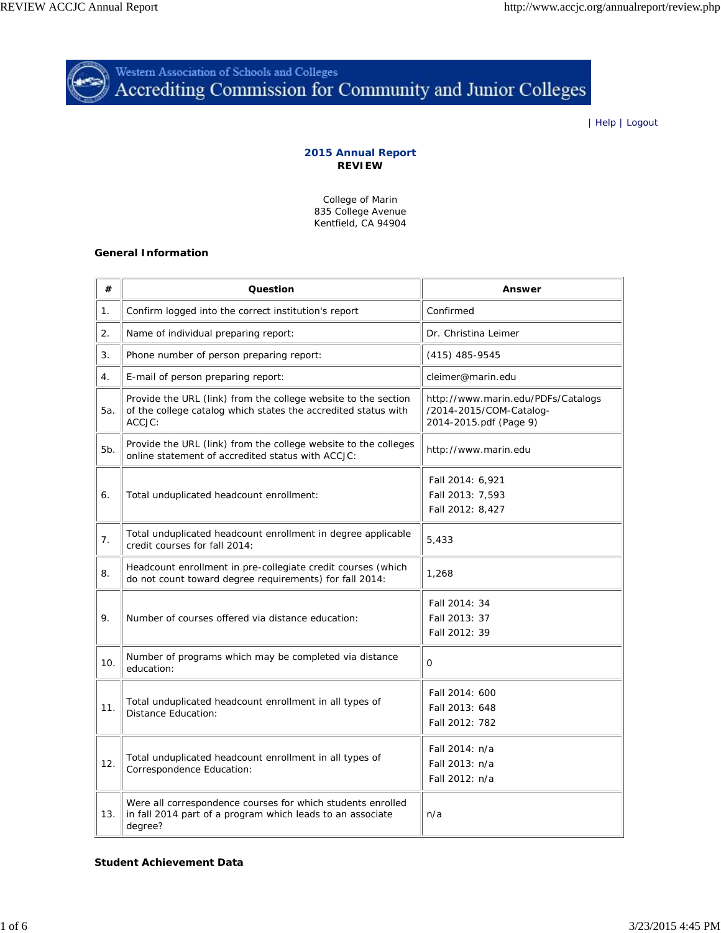

Western Association of Schools and Colleges<br>Accrediting Commission for Community and Junior Colleges

| Help | Logout

# **2015 Annual Report REVIEW**

College of Marin 835 College Avenue Kentfield, CA 94904

## **General Information**

| #   | Question                                                                                                                                   | <b>Answer</b>                                                                           |
|-----|--------------------------------------------------------------------------------------------------------------------------------------------|-----------------------------------------------------------------------------------------|
| 1.  | Confirm logged into the correct institution's report                                                                                       | Confirmed                                                                               |
| 2.  | Name of individual preparing report:                                                                                                       | Dr. Christina Leimer                                                                    |
| 3.  | Phone number of person preparing report:                                                                                                   | $(415)$ 485-9545                                                                        |
| 4.  | E-mail of person preparing report:                                                                                                         | cleimer@marin.edu                                                                       |
| 5a. | Provide the URL (link) from the college website to the section<br>of the college catalog which states the accredited status with<br>ACCJC: | http://www.marin.edu/PDFs/Catalogs<br>/2014-2015/COM-Catalog-<br>2014-2015.pdf (Page 9) |
| 5b. | Provide the URL (link) from the college website to the colleges<br>online statement of accredited status with ACCJC:                       | http://www.marin.edu                                                                    |
| 6.  | Total unduplicated headcount enrollment:                                                                                                   | Fall 2014: 6,921<br>Fall 2013: 7,593<br>Fall 2012: 8,427                                |
| 7.  | Total unduplicated headcount enrollment in degree applicable<br>credit courses for fall 2014:                                              | 5,433                                                                                   |
| 8.  | Headcount enrollment in pre-collegiate credit courses (which<br>do not count toward degree requirements) for fall 2014:                    | 1,268                                                                                   |
| 9.  | Number of courses offered via distance education:                                                                                          | Fall 2014: 34<br>Fall 2013: 37<br>Fall 2012: 39                                         |
| 10. | Number of programs which may be completed via distance<br>education:                                                                       | 0                                                                                       |
| 11. | Total unduplicated headcount enrollment in all types of<br><b>Distance Education:</b>                                                      | Fall 2014: 600<br>Fall 2013: 648<br>Fall 2012: 782                                      |
| 12. | Total unduplicated headcount enrollment in all types of<br>Correspondence Education:                                                       | Fall 2014: n/a<br>Fall 2013: n/a<br>Fall 2012: n/a                                      |
| 13. | Were all correspondence courses for which students enrolled<br>in fall 2014 part of a program which leads to an associate<br>degree?       | n/a                                                                                     |

### **Student Achievement Data**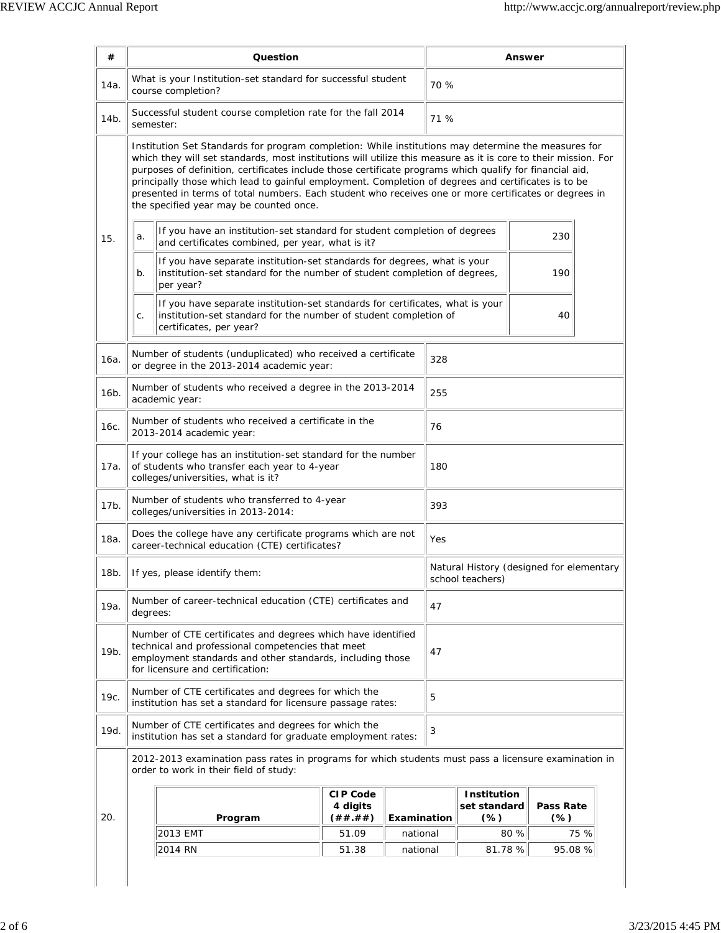| #                                                                                                                                              | Question                                                                                                                                                                                                                                                                                                                                                                                                                                                                                                                                                                                     |                                                                                                                                                                              | Answer                                                              |                                                              |     |                                    |                            |         |
|------------------------------------------------------------------------------------------------------------------------------------------------|----------------------------------------------------------------------------------------------------------------------------------------------------------------------------------------------------------------------------------------------------------------------------------------------------------------------------------------------------------------------------------------------------------------------------------------------------------------------------------------------------------------------------------------------------------------------------------------------|------------------------------------------------------------------------------------------------------------------------------------------------------------------------------|---------------------------------------------------------------------|--------------------------------------------------------------|-----|------------------------------------|----------------------------|---------|
| 14a.                                                                                                                                           | What is your Institution-set standard for successful student<br>course completion?                                                                                                                                                                                                                                                                                                                                                                                                                                                                                                           |                                                                                                                                                                              |                                                                     | 70 %                                                         |     |                                    |                            |         |
| 14b.                                                                                                                                           | semester:                                                                                                                                                                                                                                                                                                                                                                                                                                                                                                                                                                                    |                                                                                                                                                                              | Successful student course completion rate for the fall 2014<br>71 % |                                                              |     |                                    |                            |         |
|                                                                                                                                                | Institution Set Standards for program completion: While institutions may determine the measures for<br>which they will set standards, most institutions will utilize this measure as it is core to their mission. For<br>purposes of definition, certificates include those certificate programs which qualify for financial aid,<br>principally those which lead to gainful employment. Completion of degrees and certificates is to be<br>presented in terms of total numbers. Each student who receives one or more certificates or degrees in<br>the specified year may be counted once. |                                                                                                                                                                              |                                                                     |                                                              |     |                                    |                            |         |
| 15.                                                                                                                                            | If you have an institution-set standard for student completion of degrees<br>a.<br>and certificates combined, per year, what is it?                                                                                                                                                                                                                                                                                                                                                                                                                                                          |                                                                                                                                                                              |                                                                     |                                                              |     |                                    | 230                        |         |
|                                                                                                                                                | If you have separate institution-set standards for degrees, what is your<br>institution-set standard for the number of student completion of degrees,<br>b.<br>per year?                                                                                                                                                                                                                                                                                                                                                                                                                     |                                                                                                                                                                              |                                                                     |                                                              |     | 190                                |                            |         |
|                                                                                                                                                | C.                                                                                                                                                                                                                                                                                                                                                                                                                                                                                                                                                                                           | If you have separate institution-set standards for certificates, what is your<br>institution-set standard for the number of student completion of<br>certificates, per year? |                                                                     |                                                              |     |                                    | 40                         |         |
| 16a.                                                                                                                                           |                                                                                                                                                                                                                                                                                                                                                                                                                                                                                                                                                                                              | Number of students (unduplicated) who received a certificate<br>or degree in the 2013-2014 academic year:                                                                    |                                                                     |                                                              | 328 |                                    |                            |         |
| 16b.                                                                                                                                           |                                                                                                                                                                                                                                                                                                                                                                                                                                                                                                                                                                                              | Number of students who received a degree in the 2013-2014<br>academic year:                                                                                                  |                                                                     |                                                              | 255 |                                    |                            |         |
| 16с.                                                                                                                                           | Number of students who received a certificate in the<br>2013-2014 academic year:                                                                                                                                                                                                                                                                                                                                                                                                                                                                                                             |                                                                                                                                                                              |                                                                     |                                                              | 76  |                                    |                            |         |
| 17a.                                                                                                                                           | If your college has an institution-set standard for the number<br>of students who transfer each year to 4-year<br>colleges/universities, what is it?                                                                                                                                                                                                                                                                                                                                                                                                                                         |                                                                                                                                                                              |                                                                     | 180                                                          |     |                                    |                            |         |
| 17b.                                                                                                                                           | Number of students who transferred to 4-year<br>393<br>colleges/universities in 2013-2014:                                                                                                                                                                                                                                                                                                                                                                                                                                                                                                   |                                                                                                                                                                              |                                                                     |                                                              |     |                                    |                            |         |
| 18a.                                                                                                                                           | Does the college have any certificate programs which are not<br>Yes<br>career-technical education (CTE) certificates?                                                                                                                                                                                                                                                                                                                                                                                                                                                                        |                                                                                                                                                                              |                                                                     |                                                              |     |                                    |                            |         |
| 18b.                                                                                                                                           | If yes, please identify them:                                                                                                                                                                                                                                                                                                                                                                                                                                                                                                                                                                |                                                                                                                                                                              |                                                                     | Natural History (designed for elementary<br>school teachers) |     |                                    |                            |         |
| 19a.                                                                                                                                           | Number of career-technical education (CTE) certificates and<br>degrees:                                                                                                                                                                                                                                                                                                                                                                                                                                                                                                                      |                                                                                                                                                                              |                                                                     |                                                              | 47  |                                    |                            |         |
| 19b.                                                                                                                                           | Number of CTE certificates and degrees which have identified<br>technical and professional competencies that meet<br>employment standards and other standards, including those<br>for licensure and certification:                                                                                                                                                                                                                                                                                                                                                                           |                                                                                                                                                                              |                                                                     |                                                              | 47  |                                    |                            |         |
| 19c.                                                                                                                                           | Number of CTE certificates and degrees for which the<br>institution has set a standard for licensure passage rates:                                                                                                                                                                                                                                                                                                                                                                                                                                                                          |                                                                                                                                                                              |                                                                     |                                                              | 5   |                                    |                            |         |
| 19d.                                                                                                                                           | Number of CTE certificates and degrees for which the<br>institution has set a standard for graduate employment rates:                                                                                                                                                                                                                                                                                                                                                                                                                                                                        |                                                                                                                                                                              |                                                                     | 3                                                            |     |                                    |                            |         |
| 2012-2013 examination pass rates in programs for which students must pass a licensure examination in<br>order to work in their field of study: |                                                                                                                                                                                                                                                                                                                                                                                                                                                                                                                                                                                              |                                                                                                                                                                              |                                                                     |                                                              |     |                                    |                            |         |
| 20.                                                                                                                                            |                                                                                                                                                                                                                                                                                                                                                                                                                                                                                                                                                                                              | Program                                                                                                                                                                      | <b>CIP Code</b><br>4 digits<br>(##.##)                              | Examination                                                  |     | Institution<br>set standard<br>(%) | <b>Pass Rate</b><br>$(\%)$ |         |
|                                                                                                                                                |                                                                                                                                                                                                                                                                                                                                                                                                                                                                                                                                                                                              | 2013 EMT                                                                                                                                                                     | 51.09                                                               | national                                                     |     |                                    | 80 %                       | 75 %    |
|                                                                                                                                                |                                                                                                                                                                                                                                                                                                                                                                                                                                                                                                                                                                                              | 2014 RN                                                                                                                                                                      | 51.38                                                               | national                                                     |     | 81.78 %                            |                            | 95.08 % |
|                                                                                                                                                |                                                                                                                                                                                                                                                                                                                                                                                                                                                                                                                                                                                              |                                                                                                                                                                              |                                                                     |                                                              |     |                                    |                            |         |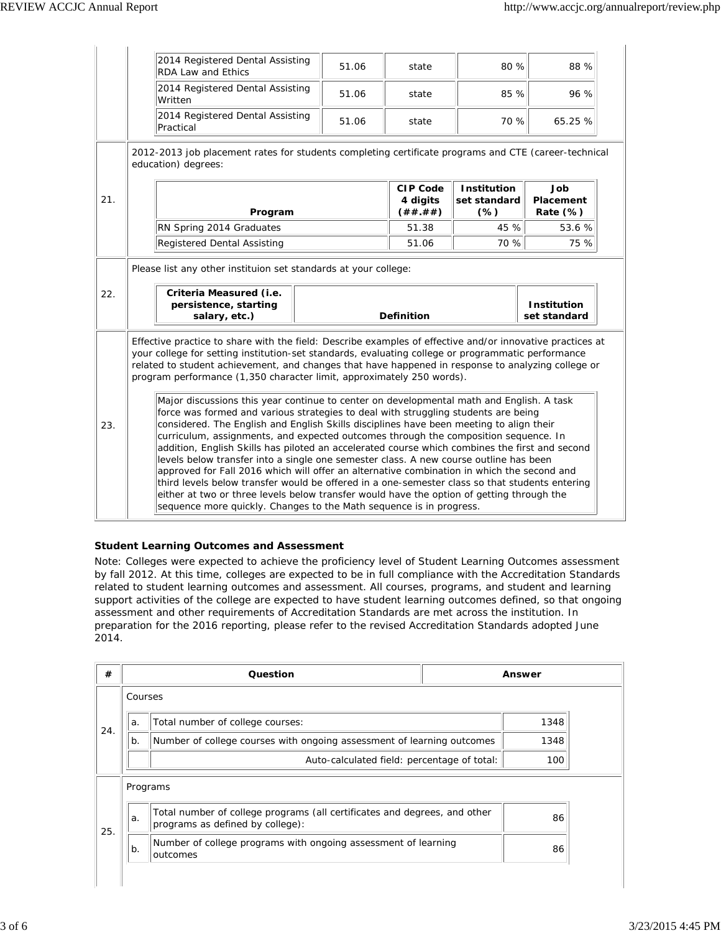|     | 2014 Registered Dental Assisting<br><b>RDA Law and Ethics</b>                                                                                                                                                                                                                                                                                                                                                                                                                                                                                                                                                                                                                                                                                                                                                                                                                                                                                                                                                                                                                                                                                                                                                                                                                                                                     | 51.06             | state                                    | 80 %                                         | 88 %                               |  |
|-----|-----------------------------------------------------------------------------------------------------------------------------------------------------------------------------------------------------------------------------------------------------------------------------------------------------------------------------------------------------------------------------------------------------------------------------------------------------------------------------------------------------------------------------------------------------------------------------------------------------------------------------------------------------------------------------------------------------------------------------------------------------------------------------------------------------------------------------------------------------------------------------------------------------------------------------------------------------------------------------------------------------------------------------------------------------------------------------------------------------------------------------------------------------------------------------------------------------------------------------------------------------------------------------------------------------------------------------------|-------------------|------------------------------------------|----------------------------------------------|------------------------------------|--|
|     | 2014 Registered Dental Assisting<br>Written                                                                                                                                                                                                                                                                                                                                                                                                                                                                                                                                                                                                                                                                                                                                                                                                                                                                                                                                                                                                                                                                                                                                                                                                                                                                                       | 51.06             | state                                    | 85 %                                         | 96 %                               |  |
|     | 2014 Registered Dental Assisting<br>Practical                                                                                                                                                                                                                                                                                                                                                                                                                                                                                                                                                                                                                                                                                                                                                                                                                                                                                                                                                                                                                                                                                                                                                                                                                                                                                     | 51.06             | state                                    | 70 %                                         | 65.25 %                            |  |
|     | 2012-2013 job placement rates for students completing certificate programs and CTE (career-technical<br>education) degrees:                                                                                                                                                                                                                                                                                                                                                                                                                                                                                                                                                                                                                                                                                                                                                                                                                                                                                                                                                                                                                                                                                                                                                                                                       |                   |                                          |                                              |                                    |  |
| 21. | Program                                                                                                                                                                                                                                                                                                                                                                                                                                                                                                                                                                                                                                                                                                                                                                                                                                                                                                                                                                                                                                                                                                                                                                                                                                                                                                                           |                   | <b>CIP Code</b><br>4 digits<br>( ## .##) | <b>Institution</b><br>set standard<br>$(\%)$ | Job<br>Placement<br>Rate $(\%)$    |  |
|     | RN Spring 2014 Graduates                                                                                                                                                                                                                                                                                                                                                                                                                                                                                                                                                                                                                                                                                                                                                                                                                                                                                                                                                                                                                                                                                                                                                                                                                                                                                                          |                   | 51.38                                    | 45 %                                         | 53.6%                              |  |
|     | Registered Dental Assisting                                                                                                                                                                                                                                                                                                                                                                                                                                                                                                                                                                                                                                                                                                                                                                                                                                                                                                                                                                                                                                                                                                                                                                                                                                                                                                       |                   | 51.06                                    | 70 %                                         | 75 %                               |  |
| 22. | Criteria Measured (i.e.<br>persistence, starting<br>salary, etc.)                                                                                                                                                                                                                                                                                                                                                                                                                                                                                                                                                                                                                                                                                                                                                                                                                                                                                                                                                                                                                                                                                                                                                                                                                                                                 | <b>Definition</b> |                                          |                                              | <b>Institution</b><br>set standard |  |
| 23. | Effective practice to share with the field: Describe examples of effective and/or innovative practices at<br>your college for setting institution-set standards, evaluating college or programmatic performance<br>related to student achievement, and changes that have happened in response to analyzing college or<br>program performance (1,350 character limit, approximately 250 words).<br>Major discussions this year continue to center on developmental math and English. A task<br>force was formed and various strategies to deal with struggling students are being<br>considered. The English and English Skills disciplines have been meeting to align their<br>curriculum, assignments, and expected outcomes through the composition sequence. In<br>addition, English Skills has piloted an accelerated course which combines the first and second<br>levels below transfer into a single one semester class. A new course outline has been<br>approved for Fall 2016 which will offer an alternative combination in which the second and<br>third levels below transfer would be offered in a one-semester class so that students entering<br>either at two or three levels below transfer would have the option of getting through the<br>sequence more quickly. Changes to the Math sequence is in progress. |                   |                                          |                                              |                                    |  |

# **Student Learning Outcomes and Assessment**

Note: Colleges were expected to achieve the proficiency level of Student Learning Outcomes assessment by fall 2012. At this time, colleges are expected to be in full compliance with the Accreditation Standards related to student learning outcomes and assessment. All courses, programs, and student and learning support activities of the college are expected to have student learning outcomes defined, so that ongoing assessment and other requirements of Accreditation Standards are met across the institution. In preparation for the 2016 reporting, please refer to the revised Accreditation Standards adopted June 2014.

| #   |         | Question                                                                                                      | Answer |  |
|-----|---------|---------------------------------------------------------------------------------------------------------------|--------|--|
|     | Courses |                                                                                                               |        |  |
| 24. | a.      | Total number of college courses:                                                                              | 1348   |  |
|     | b.      | Number of college courses with ongoing assessment of learning outcomes                                        | 1348   |  |
|     |         | Auto-calculated field: percentage of total:                                                                   | 100    |  |
|     |         | Programs                                                                                                      |        |  |
| 25. | a.      | Total number of college programs (all certificates and degrees, and other<br>programs as defined by college): | 86     |  |
|     | $b$ .   | Number of college programs with ongoing assessment of learning<br>outcomes                                    | 86     |  |
|     |         |                                                                                                               |        |  |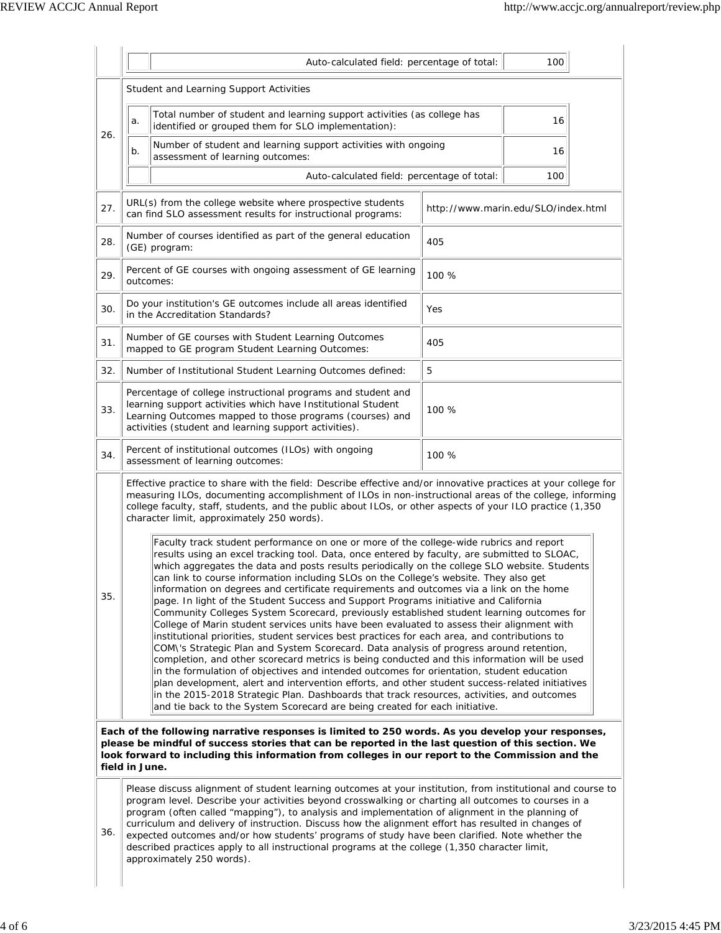|                                                                                                                                                                                                                                                                                                                               |                                                                                                                                                                                                                                                                                                                                                                                                                                                                                                                                                                                                                                                                                                                                                                                                                                                                                                                                                                                                                                                                                                                                                                                                                                                                                                                                                                                                                                          | Auto-calculated field: percentage of total:                                                                               |       | 100                                 |  |  |
|-------------------------------------------------------------------------------------------------------------------------------------------------------------------------------------------------------------------------------------------------------------------------------------------------------------------------------|------------------------------------------------------------------------------------------------------------------------------------------------------------------------------------------------------------------------------------------------------------------------------------------------------------------------------------------------------------------------------------------------------------------------------------------------------------------------------------------------------------------------------------------------------------------------------------------------------------------------------------------------------------------------------------------------------------------------------------------------------------------------------------------------------------------------------------------------------------------------------------------------------------------------------------------------------------------------------------------------------------------------------------------------------------------------------------------------------------------------------------------------------------------------------------------------------------------------------------------------------------------------------------------------------------------------------------------------------------------------------------------------------------------------------------------|---------------------------------------------------------------------------------------------------------------------------|-------|-------------------------------------|--|--|
|                                                                                                                                                                                                                                                                                                                               | Student and Learning Support Activities                                                                                                                                                                                                                                                                                                                                                                                                                                                                                                                                                                                                                                                                                                                                                                                                                                                                                                                                                                                                                                                                                                                                                                                                                                                                                                                                                                                                  |                                                                                                                           |       |                                     |  |  |
| 26.                                                                                                                                                                                                                                                                                                                           | Total number of student and learning support activities (as college has<br>a.<br>identified or grouped them for SLO implementation):                                                                                                                                                                                                                                                                                                                                                                                                                                                                                                                                                                                                                                                                                                                                                                                                                                                                                                                                                                                                                                                                                                                                                                                                                                                                                                     |                                                                                                                           |       | 16                                  |  |  |
|                                                                                                                                                                                                                                                                                                                               | b.                                                                                                                                                                                                                                                                                                                                                                                                                                                                                                                                                                                                                                                                                                                                                                                                                                                                                                                                                                                                                                                                                                                                                                                                                                                                                                                                                                                                                                       | Number of student and learning support activities with ongoing<br>assessment of learning outcomes:                        |       | 16                                  |  |  |
|                                                                                                                                                                                                                                                                                                                               |                                                                                                                                                                                                                                                                                                                                                                                                                                                                                                                                                                                                                                                                                                                                                                                                                                                                                                                                                                                                                                                                                                                                                                                                                                                                                                                                                                                                                                          | Auto-calculated field: percentage of total:                                                                               |       | 100                                 |  |  |
| 27.                                                                                                                                                                                                                                                                                                                           |                                                                                                                                                                                                                                                                                                                                                                                                                                                                                                                                                                                                                                                                                                                                                                                                                                                                                                                                                                                                                                                                                                                                                                                                                                                                                                                                                                                                                                          | URL(s) from the college website where prospective students<br>can find SLO assessment results for instructional programs: |       | http://www.marin.edu/SLO/index.html |  |  |
| 28.                                                                                                                                                                                                                                                                                                                           |                                                                                                                                                                                                                                                                                                                                                                                                                                                                                                                                                                                                                                                                                                                                                                                                                                                                                                                                                                                                                                                                                                                                                                                                                                                                                                                                                                                                                                          | Number of courses identified as part of the general education<br>(GE) program:                                            | 405   |                                     |  |  |
| 29.                                                                                                                                                                                                                                                                                                                           |                                                                                                                                                                                                                                                                                                                                                                                                                                                                                                                                                                                                                                                                                                                                                                                                                                                                                                                                                                                                                                                                                                                                                                                                                                                                                                                                                                                                                                          | Percent of GE courses with ongoing assessment of GE learning<br>outcomes:                                                 | 100 % |                                     |  |  |
| 30.                                                                                                                                                                                                                                                                                                                           |                                                                                                                                                                                                                                                                                                                                                                                                                                                                                                                                                                                                                                                                                                                                                                                                                                                                                                                                                                                                                                                                                                                                                                                                                                                                                                                                                                                                                                          | Do your institution's GE outcomes include all areas identified<br>in the Accreditation Standards?                         | Yes   |                                     |  |  |
| 31.                                                                                                                                                                                                                                                                                                                           |                                                                                                                                                                                                                                                                                                                                                                                                                                                                                                                                                                                                                                                                                                                                                                                                                                                                                                                                                                                                                                                                                                                                                                                                                                                                                                                                                                                                                                          | Number of GE courses with Student Learning Outcomes<br>mapped to GE program Student Learning Outcomes:                    | 405   |                                     |  |  |
| 32.                                                                                                                                                                                                                                                                                                                           |                                                                                                                                                                                                                                                                                                                                                                                                                                                                                                                                                                                                                                                                                                                                                                                                                                                                                                                                                                                                                                                                                                                                                                                                                                                                                                                                                                                                                                          | Number of Institutional Student Learning Outcomes defined:                                                                | 5     |                                     |  |  |
| 33.                                                                                                                                                                                                                                                                                                                           | Percentage of college instructional programs and student and<br>learning support activities which have Institutional Student<br>Learning Outcomes mapped to those programs (courses) and<br>activities (student and learning support activities).                                                                                                                                                                                                                                                                                                                                                                                                                                                                                                                                                                                                                                                                                                                                                                                                                                                                                                                                                                                                                                                                                                                                                                                        |                                                                                                                           | 100 % |                                     |  |  |
| 34.                                                                                                                                                                                                                                                                                                                           | Percent of institutional outcomes (ILOs) with ongoing<br>100 %<br>assessment of learning outcomes:                                                                                                                                                                                                                                                                                                                                                                                                                                                                                                                                                                                                                                                                                                                                                                                                                                                                                                                                                                                                                                                                                                                                                                                                                                                                                                                                       |                                                                                                                           |       |                                     |  |  |
|                                                                                                                                                                                                                                                                                                                               | Effective practice to share with the field: Describe effective and/or innovative practices at your college for<br>measuring ILOs, documenting accomplishment of ILOs in non-instructional areas of the college, informing<br>college faculty, staff, students, and the public about ILOs, or other aspects of your ILO practice (1,350<br>character limit, approximately 250 words).                                                                                                                                                                                                                                                                                                                                                                                                                                                                                                                                                                                                                                                                                                                                                                                                                                                                                                                                                                                                                                                     |                                                                                                                           |       |                                     |  |  |
| 35.                                                                                                                                                                                                                                                                                                                           | Faculty track student performance on one or more of the college-wide rubrics and report<br>results using an excel tracking tool. Data, once entered by faculty, are submitted to SLOAC,<br>which aggregates the data and posts results periodically on the college SLO website. Students<br>can link to course information including SLOs on the College's website. They also get<br>information on degrees and certificate requirements and outcomes via a link on the home<br>page. In light of the Student Success and Support Programs initiative and California<br>Community Colleges System Scorecard, previously established student learning outcomes for<br>College of Marin student services units have been evaluated to assess their alignment with<br>institutional priorities, student services best practices for each area, and contributions to<br>COM\'s Strategic Plan and System Scorecard. Data analysis of progress around retention,<br>completion, and other scorecard metrics is being conducted and this information will be used<br>in the formulation of objectives and intended outcomes for orientation, student education<br>plan development, alert and intervention efforts, and other student success-related initiatives<br>in the 2015-2018 Strategic Plan. Dashboards that track resources, activities, and outcomes<br>and tie back to the System Scorecard are being created for each initiative. |                                                                                                                           |       |                                     |  |  |
| Each of the following narrative responses is limited to 250 words. As you develop your responses,<br>please be mindful of success stories that can be reported in the last question of this section. We<br>look forward to including this information from colleges in our report to the Commission and the<br>field in June. |                                                                                                                                                                                                                                                                                                                                                                                                                                                                                                                                                                                                                                                                                                                                                                                                                                                                                                                                                                                                                                                                                                                                                                                                                                                                                                                                                                                                                                          |                                                                                                                           |       |                                     |  |  |
| 36.                                                                                                                                                                                                                                                                                                                           | Please discuss alignment of student learning outcomes at your institution, from institutional and course to<br>program level. Describe your activities beyond crosswalking or charting all outcomes to courses in a<br>program (often called "mapping"), to analysis and implementation of alignment in the planning of<br>curriculum and delivery of instruction. Discuss how the alignment effort has resulted in changes of<br>expected outcomes and/or how students' programs of study have been clarified. Note whether the<br>described practices apply to all instructional programs at the college (1,350 character limit,<br>approximately 250 words).                                                                                                                                                                                                                                                                                                                                                                                                                                                                                                                                                                                                                                                                                                                                                                          |                                                                                                                           |       |                                     |  |  |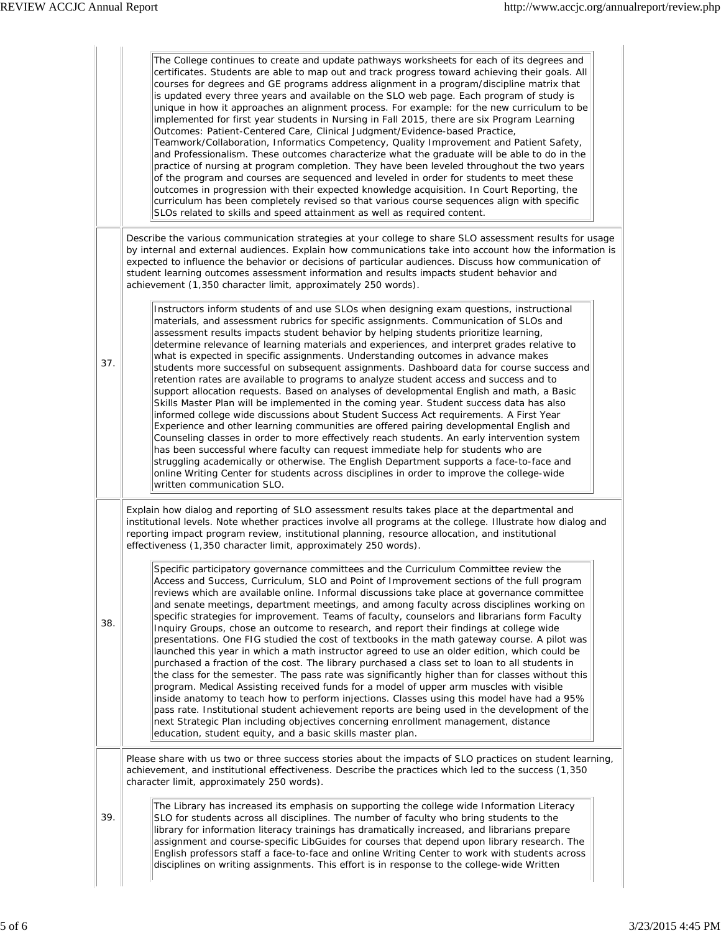|     | The College continues to create and update pathways worksheets for each of its degrees and<br>certificates. Students are able to map out and track progress toward achieving their goals. All<br>courses for degrees and GE programs address alignment in a program/discipline matrix that<br>is updated every three years and available on the SLO web page. Each program of study is<br>unique in how it approaches an alignment process. For example: for the new curriculum to be<br>implemented for first year students in Nursing in Fall 2015, there are six Program Learning<br>Outcomes: Patient-Centered Care, Clinical Judgment/Evidence-based Practice,<br>Teamwork/Collaboration, Informatics Competency, Quality Improvement and Patient Safety,<br>and Professionalism. These outcomes characterize what the graduate will be able to do in the<br>practice of nursing at program completion. They have been leveled throughout the two years<br>of the program and courses are sequenced and leveled in order for students to meet these<br>outcomes in progression with their expected knowledge acquisition. In Court Reporting, the<br>curriculum has been completely revised so that various course sequences align with specific<br>SLOs related to skills and speed attainment as well as required content.                                                                                                               |  |  |  |
|-----|-------------------------------------------------------------------------------------------------------------------------------------------------------------------------------------------------------------------------------------------------------------------------------------------------------------------------------------------------------------------------------------------------------------------------------------------------------------------------------------------------------------------------------------------------------------------------------------------------------------------------------------------------------------------------------------------------------------------------------------------------------------------------------------------------------------------------------------------------------------------------------------------------------------------------------------------------------------------------------------------------------------------------------------------------------------------------------------------------------------------------------------------------------------------------------------------------------------------------------------------------------------------------------------------------------------------------------------------------------------------------------------------------------------------------------------------------|--|--|--|
|     | Describe the various communication strategies at your college to share SLO assessment results for usage<br>by internal and external audiences. Explain how communications take into account how the information is<br>expected to influence the behavior or decisions of particular audiences. Discuss how communication of<br>student learning outcomes assessment information and results impacts student behavior and<br>achievement (1,350 character limit, approximately 250 words).                                                                                                                                                                                                                                                                                                                                                                                                                                                                                                                                                                                                                                                                                                                                                                                                                                                                                                                                                       |  |  |  |
| 37. | Instructors inform students of and use SLOs when designing exam questions, instructional<br>materials, and assessment rubrics for specific assignments. Communication of SLOs and<br>assessment results impacts student behavior by helping students prioritize learning,<br>determine relevance of learning materials and experiences, and interpret grades relative to<br>what is expected in specific assignments. Understanding outcomes in advance makes<br>students more successful on subsequent assignments. Dashboard data for course success and<br>retention rates are available to programs to analyze student access and success and to<br>support allocation requests. Based on analyses of developmental English and math, a Basic<br>Skills Master Plan will be implemented in the coming year. Student success data has also<br>informed college wide discussions about Student Success Act requirements. A First Year<br>Experience and other learning communities are offered pairing developmental English and<br>Counseling classes in order to more effectively reach students. An early intervention system<br>has been successful where faculty can request immediate help for students who are<br>struggling academically or otherwise. The English Department supports a face-to-face and<br>online Writing Center for students across disciplines in order to improve the college-wide<br>written communication SLO. |  |  |  |
| 38. | Explain how dialog and reporting of SLO assessment results takes place at the departmental and<br>institutional levels. Note whether practices involve all programs at the college. Illustrate how dialog and<br>reporting impact program review, institutional planning, resource allocation, and institutional<br>effectiveness (1,350 character limit, approximately 250 words).                                                                                                                                                                                                                                                                                                                                                                                                                                                                                                                                                                                                                                                                                                                                                                                                                                                                                                                                                                                                                                                             |  |  |  |
|     | ID.<br>Specific participatory governance committees and the Curriculum Committee review the<br>Access and Success, Curriculum, SLO and Point of Improvement sections of the full program<br>reviews which are available online. Informal discussions take place at governance committee<br>and senate meetings, department meetings, and among faculty across disciplines working on<br>specific strategies for improvement. Teams of faculty, counselors and librarians form Faculty<br>Inquiry Groups, chose an outcome to research, and report their findings at college wide<br>presentations. One FIG studied the cost of textbooks in the math gateway course. A pilot was<br>launched this year in which a math instructor agreed to use an older edition, which could be<br>purchased a fraction of the cost. The library purchased a class set to loan to all students in<br>the class for the semester. The pass rate was significantly higher than for classes without this<br>program. Medical Assisting received funds for a model of upper arm muscles with visible<br>inside anatomy to teach how to perform injections. Classes using this model have had a 95%<br>pass rate. Institutional student achievement reports are being used in the development of the<br>next Strategic Plan including objectives concerning enrollment management, distance<br>education, student equity, and a basic skills master plan.           |  |  |  |
|     | Please share with us two or three success stories about the impacts of SLO practices on student learning,<br>achievement, and institutional effectiveness. Describe the practices which led to the success (1,350)<br>character limit, approximately 250 words).                                                                                                                                                                                                                                                                                                                                                                                                                                                                                                                                                                                                                                                                                                                                                                                                                                                                                                                                                                                                                                                                                                                                                                                |  |  |  |
| 39. | The Library has increased its emphasis on supporting the college wide Information Literacy<br>SLO for students across all disciplines. The number of faculty who bring students to the<br>library for information literacy trainings has dramatically increased, and librarians prepare<br>assignment and course-specific LibGuides for courses that depend upon library research. The<br>English professors staff a face-to-face and online Writing Center to work with students across<br>disciplines on writing assignments. This effort is in response to the college-wide Written                                                                                                                                                                                                                                                                                                                                                                                                                                                                                                                                                                                                                                                                                                                                                                                                                                                          |  |  |  |